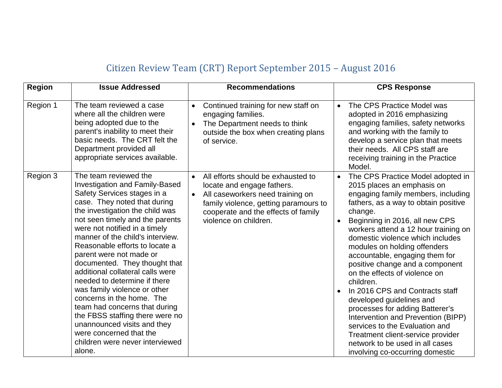## Citizen Review Team (CRT) Report September 2015 – August 2016

| <b>Region</b> | <b>Issue Addressed</b>                                                                                                                                                                                                                                                                                                                                                                                                                                                                                                                                                                                                                                                             | <b>Recommendations</b>                                                                                                                                                                                                                  | <b>CPS Response</b>                                                                                                                                                                                                                                                                                                                                                                                                                                                                                                                                                                                                                                                                                                                      |
|---------------|------------------------------------------------------------------------------------------------------------------------------------------------------------------------------------------------------------------------------------------------------------------------------------------------------------------------------------------------------------------------------------------------------------------------------------------------------------------------------------------------------------------------------------------------------------------------------------------------------------------------------------------------------------------------------------|-----------------------------------------------------------------------------------------------------------------------------------------------------------------------------------------------------------------------------------------|------------------------------------------------------------------------------------------------------------------------------------------------------------------------------------------------------------------------------------------------------------------------------------------------------------------------------------------------------------------------------------------------------------------------------------------------------------------------------------------------------------------------------------------------------------------------------------------------------------------------------------------------------------------------------------------------------------------------------------------|
| Region 1      | The team reviewed a case<br>where all the children were<br>being adopted due to the<br>parent's inability to meet their<br>basic needs. The CRT felt the<br>Department provided all<br>appropriate services available.                                                                                                                                                                                                                                                                                                                                                                                                                                                             | Continued training for new staff on<br>$\bullet$<br>engaging families.<br>The Department needs to think<br>$\bullet$<br>outside the box when creating plans<br>of service.                                                              | The CPS Practice Model was<br>$\bullet$<br>adopted in 2016 emphasizing<br>engaging families, safety networks<br>and working with the family to<br>develop a service plan that meets<br>their needs. All CPS staff are<br>receiving training in the Practice<br>Model.                                                                                                                                                                                                                                                                                                                                                                                                                                                                    |
| Region 3      | The team reviewed the<br><b>Investigation and Family-Based</b><br>Safety Services stages in a<br>case. They noted that during<br>the investigation the child was<br>not seen timely and the parents<br>were not notified in a timely<br>manner of the child's interview.<br>Reasonable efforts to locate a<br>parent were not made or<br>documented. They thought that<br>additional collateral calls were<br>needed to determine if there<br>was family violence or other<br>concerns in the home. The<br>team had concerns that during<br>the FBSS staffing there were no<br>unannounced visits and they<br>were concerned that the<br>children were never interviewed<br>alone. | All efforts should be exhausted to<br>$\bullet$<br>locate and engage fathers.<br>All caseworkers need training on<br>$\bullet$<br>family violence, getting paramours to<br>cooperate and the effects of family<br>violence on children. | The CPS Practice Model adopted in<br>$\bullet$<br>2015 places an emphasis on<br>engaging family members, including<br>fathers, as a way to obtain positive<br>change.<br>Beginning in 2016, all new CPS<br>$\bullet$<br>workers attend a 12 hour training on<br>domestic violence which includes<br>modules on holding offenders<br>accountable, engaging them for<br>positive change and a component<br>on the effects of violence on<br>children.<br>In 2016 CPS and Contracts staff<br>developed guidelines and<br>processes for adding Batterer's<br>Intervention and Prevention (BIPP)<br>services to the Evaluation and<br>Treatment client-service provider<br>network to be used in all cases<br>involving co-occurring domestic |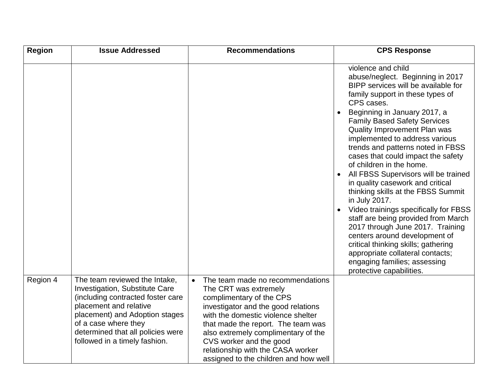| <b>Region</b> | <b>Issue Addressed</b>                                                                                                                                                                                                                                         | <b>Recommendations</b>                                                                                                                                                                                                                                                                                                                                   | <b>CPS Response</b>                                                                                                                                                                                                                                                                                                                                                                                                                       |
|---------------|----------------------------------------------------------------------------------------------------------------------------------------------------------------------------------------------------------------------------------------------------------------|----------------------------------------------------------------------------------------------------------------------------------------------------------------------------------------------------------------------------------------------------------------------------------------------------------------------------------------------------------|-------------------------------------------------------------------------------------------------------------------------------------------------------------------------------------------------------------------------------------------------------------------------------------------------------------------------------------------------------------------------------------------------------------------------------------------|
|               |                                                                                                                                                                                                                                                                |                                                                                                                                                                                                                                                                                                                                                          | violence and child<br>abuse/neglect. Beginning in 2017<br>BIPP services will be available for<br>family support in these types of<br>CPS cases.<br>Beginning in January 2017, a<br><b>Family Based Safety Services</b>                                                                                                                                                                                                                    |
|               |                                                                                                                                                                                                                                                                |                                                                                                                                                                                                                                                                                                                                                          | Quality Improvement Plan was<br>implemented to address various<br>trends and patterns noted in FBSS<br>cases that could impact the safety<br>of children in the home.<br>All FBSS Supervisors will be trained<br>$\bullet$<br>in quality casework and critical<br>thinking skills at the FBSS Summit<br>in July 2017.<br>Video trainings specifically for FBSS<br>staff are being provided from March<br>2017 through June 2017. Training |
|               |                                                                                                                                                                                                                                                                |                                                                                                                                                                                                                                                                                                                                                          | centers around development of<br>critical thinking skills; gathering<br>appropriate collateral contacts;<br>engaging families; assessing<br>protective capabilities.                                                                                                                                                                                                                                                                      |
| Region 4      | The team reviewed the Intake,<br>Investigation, Substitute Care<br>(including contracted foster care<br>placement and relative<br>placement) and Adoption stages<br>of a case where they<br>determined that all policies were<br>followed in a timely fashion. | The team made no recommendations<br>The CRT was extremely<br>complimentary of the CPS<br>investigator and the good relations<br>with the domestic violence shelter<br>that made the report. The team was<br>also extremely complimentary of the<br>CVS worker and the good<br>relationship with the CASA worker<br>assigned to the children and how well |                                                                                                                                                                                                                                                                                                                                                                                                                                           |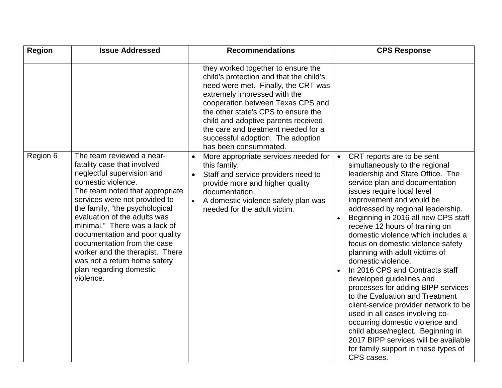| <b>Region</b> | <b>Issue Addressed</b>                                                                                                                                                                                                                                                                                                                                                                                                                                          | <b>Recommendations</b>                                                                                                                                                                                                                                                                                                                                                       | <b>CPS Response</b>                                                                                                                                                                                                                                                                                                                                                                                                                                                                                                                                                                                                                                                                                                                                                                                                                                                |
|---------------|-----------------------------------------------------------------------------------------------------------------------------------------------------------------------------------------------------------------------------------------------------------------------------------------------------------------------------------------------------------------------------------------------------------------------------------------------------------------|------------------------------------------------------------------------------------------------------------------------------------------------------------------------------------------------------------------------------------------------------------------------------------------------------------------------------------------------------------------------------|--------------------------------------------------------------------------------------------------------------------------------------------------------------------------------------------------------------------------------------------------------------------------------------------------------------------------------------------------------------------------------------------------------------------------------------------------------------------------------------------------------------------------------------------------------------------------------------------------------------------------------------------------------------------------------------------------------------------------------------------------------------------------------------------------------------------------------------------------------------------|
|               |                                                                                                                                                                                                                                                                                                                                                                                                                                                                 | they worked together to ensure the<br>child's protection and that the child's<br>need were met. Finally, the CRT was<br>extremely impressed with the<br>cooperation between Texas CPS and<br>the other state's CPS to ensure the<br>child and adoptive parents received<br>the care and treatment needed for a<br>successful adoption. The adoption<br>has been consummated. |                                                                                                                                                                                                                                                                                                                                                                                                                                                                                                                                                                                                                                                                                                                                                                                                                                                                    |
| Region 6      | The team reviewed a near-<br>fatality case that involved<br>neglectful supervision and<br>domestic violence.<br>The team noted that appropriate<br>services were not provided to<br>the family, "the psychological<br>evaluation of the adults was<br>minimal." There was a lack of<br>documentation and poor quality<br>documentation from the case<br>worker and the therapist. There<br>was not a return home safety<br>plan regarding domestic<br>violence. | More appropriate services needed for<br>this family.<br>Staff and service providers need to<br>provide more and higher quality<br>documentation.<br>A domestic violence safety plan was<br>needed for the adult victim.                                                                                                                                                      | CRT reports are to be sent<br>$\bullet$<br>simultaneously to the regional<br>leadership and State Office. The<br>service plan and documentation<br>issues require local level<br>improvement and would be<br>addressed by regional leadership.<br>Beginning in 2016 all new CPS staff<br>$\bullet$<br>receive 12 hours of training on<br>domestic violence which includes a<br>focus on domestic violence safety<br>planning with adult victims of<br>domestic violence.<br>In 2016 CPS and Contracts staff<br>developed guidelines and<br>processes for adding BIPP services<br>to the Evaluation and Treatment<br>client-service provider network to be<br>used in all cases involving co-<br>occurring domestic violence and<br>child abuse/neglect. Beginning in<br>2017 BIPP services will be available<br>for family support in these types of<br>CPS cases. |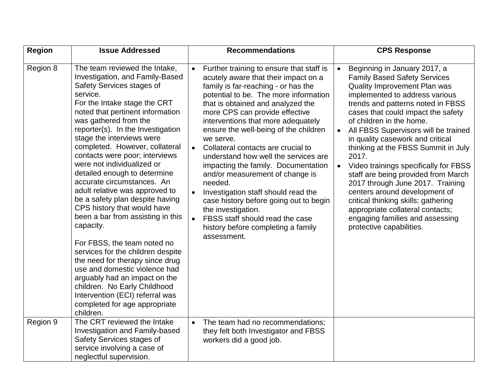| <b>Region</b> | <b>Issue Addressed</b>                                                                                                                                                                                                                                                                                                                                                                                                                                                                                                                                                                                                                                                                                                                                                                                                                                                                   | <b>Recommendations</b>                                                                                                                                                                                                                                                                                                                                                                                                                                                                                                                                                                                                                                                                                                                                    | <b>CPS Response</b>                                                                                                                                                                                                                                                                                                                                                                                                                                                                                                                                                                                                                                                                                            |
|---------------|------------------------------------------------------------------------------------------------------------------------------------------------------------------------------------------------------------------------------------------------------------------------------------------------------------------------------------------------------------------------------------------------------------------------------------------------------------------------------------------------------------------------------------------------------------------------------------------------------------------------------------------------------------------------------------------------------------------------------------------------------------------------------------------------------------------------------------------------------------------------------------------|-----------------------------------------------------------------------------------------------------------------------------------------------------------------------------------------------------------------------------------------------------------------------------------------------------------------------------------------------------------------------------------------------------------------------------------------------------------------------------------------------------------------------------------------------------------------------------------------------------------------------------------------------------------------------------------------------------------------------------------------------------------|----------------------------------------------------------------------------------------------------------------------------------------------------------------------------------------------------------------------------------------------------------------------------------------------------------------------------------------------------------------------------------------------------------------------------------------------------------------------------------------------------------------------------------------------------------------------------------------------------------------------------------------------------------------------------------------------------------------|
| Region 8      | The team reviewed the Intake,<br>Investigation, and Family-Based<br>Safety Services stages of<br>service.<br>For the Intake stage the CRT<br>noted that pertinent information<br>was gathered from the<br>reporter(s). In the Investigation<br>stage the interviews were<br>completed. However, collateral<br>contacts were poor; interviews<br>were not individualized or<br>detailed enough to determine<br>accurate circumstances. An<br>adult relative was approved to<br>be a safety plan despite having<br>CPS history that would have<br>been a bar from assisting in this<br>capacity.<br>For FBSS, the team noted no<br>services for the children despite<br>the need for therapy since drug<br>use and domestic violence had<br>arguably had an impact on the<br>children. No Early Childhood<br>Intervention (ECI) referral was<br>completed for age appropriate<br>children. | Further training to ensure that staff is<br>$\bullet$<br>acutely aware that their impact on a<br>family is far-reaching - or has the<br>potential to be. The more information<br>that is obtained and analyzed the<br>more CPS can provide effective<br>interventions that more adequately<br>ensure the well-being of the children<br>we serve.<br>Collateral contacts are crucial to<br>$\bullet$<br>understand how well the services are<br>impacting the family. Documentation<br>and/or measurement of change is<br>needed.<br>Investigation staff should read the<br>$\bullet$<br>case history before going out to begin<br>the investigation.<br>FBSS staff should read the case<br>$\bullet$<br>history before completing a family<br>assessment. | Beginning in January 2017, a<br>$\bullet$<br><b>Family Based Safety Services</b><br>Quality Improvement Plan was<br>implemented to address various<br>trends and patterns noted in FBSS<br>cases that could impact the safety<br>of children in the home.<br>All FBSS Supervisors will be trained<br>$\bullet$<br>in quality casework and critical<br>thinking at the FBSS Summit in July<br>2017.<br>Video trainings specifically for FBSS<br>$\bullet$<br>staff are being provided from March<br>2017 through June 2017. Training<br>centers around development of<br>critical thinking skills; gathering<br>appropriate collateral contacts;<br>engaging families and assessing<br>protective capabilities. |
| Region 9      | The CRT reviewed the Intake<br><b>Investigation and Family-based</b><br>Safety Services stages of<br>service involving a case of<br>neglectful supervision.                                                                                                                                                                                                                                                                                                                                                                                                                                                                                                                                                                                                                                                                                                                              | The team had no recommendations;<br>$\bullet$<br>they felt both Investigator and FBSS<br>workers did a good job.                                                                                                                                                                                                                                                                                                                                                                                                                                                                                                                                                                                                                                          |                                                                                                                                                                                                                                                                                                                                                                                                                                                                                                                                                                                                                                                                                                                |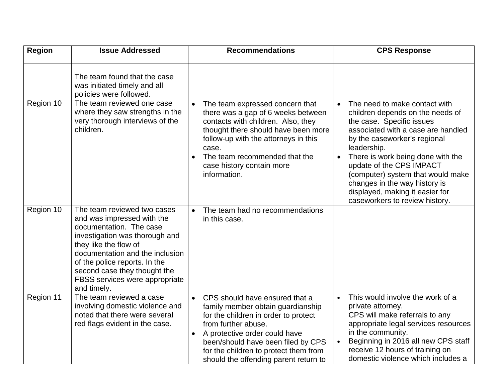| <b>Region</b> | <b>Issue Addressed</b>                                                                                                                                                                                                                                                                               | <b>Recommendations</b>                                                                                                                                                                                                                                                                                   | <b>CPS Response</b>                                                                                                                                                                                                                                                                                                                                                                                                       |
|---------------|------------------------------------------------------------------------------------------------------------------------------------------------------------------------------------------------------------------------------------------------------------------------------------------------------|----------------------------------------------------------------------------------------------------------------------------------------------------------------------------------------------------------------------------------------------------------------------------------------------------------|---------------------------------------------------------------------------------------------------------------------------------------------------------------------------------------------------------------------------------------------------------------------------------------------------------------------------------------------------------------------------------------------------------------------------|
|               | The team found that the case<br>was initiated timely and all<br>policies were followed.                                                                                                                                                                                                              |                                                                                                                                                                                                                                                                                                          |                                                                                                                                                                                                                                                                                                                                                                                                                           |
| Region 10     | The team reviewed one case<br>where they saw strengths in the<br>very thorough interviews of the<br>children.                                                                                                                                                                                        | The team expressed concern that<br>there was a gap of 6 weeks between<br>contacts with children. Also, they<br>thought there should have been more<br>follow-up with the attorneys in this<br>case.<br>The team recommended that the<br>case history contain more<br>information.                        | The need to make contact with<br>$\bullet$<br>children depends on the needs of<br>the case. Specific issues<br>associated with a case are handled<br>by the caseworker's regional<br>leadership.<br>There is work being done with the<br>$\bullet$<br>update of the CPS IMPACT<br>(computer) system that would make<br>changes in the way history is<br>displayed, making it easier for<br>caseworkers to review history. |
| Region 10     | The team reviewed two cases<br>and was impressed with the<br>documentation. The case<br>investigation was thorough and<br>they like the flow of<br>documentation and the inclusion<br>of the police reports. In the<br>second case they thought the<br>FBSS services were appropriate<br>and timely. | The team had no recommendations<br>in this case.                                                                                                                                                                                                                                                         |                                                                                                                                                                                                                                                                                                                                                                                                                           |
| Region 11     | The team reviewed a case<br>involving domestic violence and<br>noted that there were several<br>red flags evident in the case.                                                                                                                                                                       | CPS should have ensured that a<br>$\bullet$<br>family member obtain guardianship<br>for the children in order to protect<br>from further abuse.<br>A protective order could have<br>been/should have been filed by CPS<br>for the children to protect them from<br>should the offending parent return to | This would involve the work of a<br>$\bullet$<br>private attorney.<br>CPS will make referrals to any<br>appropriate legal services resources<br>in the community.<br>Beginning in 2016 all new CPS staff<br>$\bullet$<br>receive 12 hours of training on<br>domestic violence which includes a                                                                                                                            |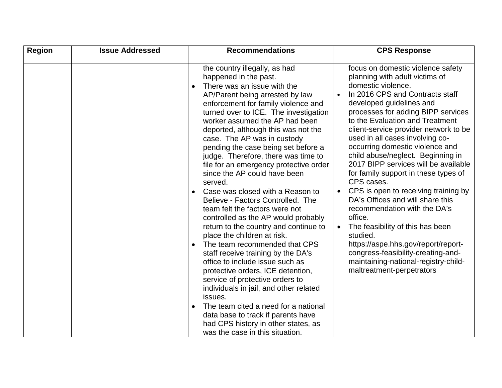| <b>Region</b> | <b>Issue Addressed</b> | <b>Recommendations</b>                                                                                                                                                                                                                                                                                                                                                                                                                                                                                                                                                                                                                                                                                                                                                                                                                                                                                                                                                                                                                                                                                       | <b>CPS Response</b>                                                                                                                                                                                                                                                                                                                                                                                                                                                                                                                                                                                                                                                                                                                                                                                                                    |
|---------------|------------------------|--------------------------------------------------------------------------------------------------------------------------------------------------------------------------------------------------------------------------------------------------------------------------------------------------------------------------------------------------------------------------------------------------------------------------------------------------------------------------------------------------------------------------------------------------------------------------------------------------------------------------------------------------------------------------------------------------------------------------------------------------------------------------------------------------------------------------------------------------------------------------------------------------------------------------------------------------------------------------------------------------------------------------------------------------------------------------------------------------------------|----------------------------------------------------------------------------------------------------------------------------------------------------------------------------------------------------------------------------------------------------------------------------------------------------------------------------------------------------------------------------------------------------------------------------------------------------------------------------------------------------------------------------------------------------------------------------------------------------------------------------------------------------------------------------------------------------------------------------------------------------------------------------------------------------------------------------------------|
|               |                        | the country illegally, as had<br>happened in the past.<br>There was an issue with the<br>AP/Parent being arrested by law<br>enforcement for family violence and<br>turned over to ICE. The investigation<br>worker assumed the AP had been<br>deported, although this was not the<br>case. The AP was in custody<br>pending the case being set before a<br>judge. Therefore, there was time to<br>file for an emergency protective order<br>since the AP could have been<br>served.<br>Case was closed with a Reason to<br>Believe - Factors Controlled. The<br>team felt the factors were not<br>controlled as the AP would probably<br>return to the country and continue to<br>place the children at risk.<br>The team recommended that CPS<br>staff receive training by the DA's<br>office to include issue such as<br>protective orders, ICE detention,<br>service of protective orders to<br>individuals in jail, and other related<br>issues.<br>The team cited a need for a national<br>data base to track if parents have<br>had CPS history in other states, as<br>was the case in this situation. | focus on domestic violence safety<br>planning with adult victims of<br>domestic violence.<br>In 2016 CPS and Contracts staff<br>developed guidelines and<br>processes for adding BIPP services<br>to the Evaluation and Treatment<br>client-service provider network to be<br>used in all cases involving co-<br>occurring domestic violence and<br>child abuse/neglect. Beginning in<br>2017 BIPP services will be available<br>for family support in these types of<br>CPS cases.<br>CPS is open to receiving training by<br>$\bullet$<br>DA's Offices and will share this<br>recommendation with the DA's<br>office.<br>The feasibility of this has been<br>$\bullet$<br>studied.<br>https://aspe.hhs.gov/report/report-<br>congress-feasibility-creating-and-<br>maintaining-national-registry-child-<br>maltreatment-perpetrators |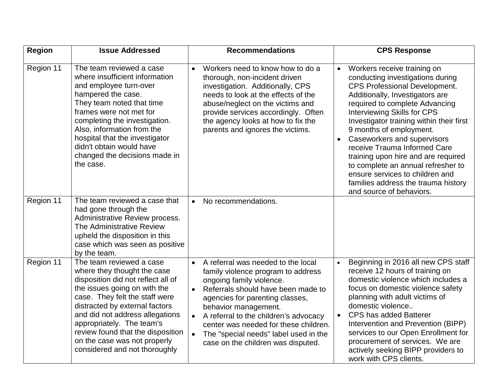| <b>Region</b> | <b>Issue Addressed</b>                                                                                                                                                                                                                                                                                                                                                  | <b>Recommendations</b>                                                                                                                                                                                                                                                                                                                                                                                                     | <b>CPS Response</b>                                                                                                                                                                                                                                                                                                                                                                                                                                                                                                                                                   |
|---------------|-------------------------------------------------------------------------------------------------------------------------------------------------------------------------------------------------------------------------------------------------------------------------------------------------------------------------------------------------------------------------|----------------------------------------------------------------------------------------------------------------------------------------------------------------------------------------------------------------------------------------------------------------------------------------------------------------------------------------------------------------------------------------------------------------------------|-----------------------------------------------------------------------------------------------------------------------------------------------------------------------------------------------------------------------------------------------------------------------------------------------------------------------------------------------------------------------------------------------------------------------------------------------------------------------------------------------------------------------------------------------------------------------|
| Region 11     | The team reviewed a case<br>where insufficient information<br>and employee turn-over<br>hampered the case.<br>They team noted that time<br>frames were not met for<br>completing the investigation.<br>Also, information from the<br>hospital that the investigator<br>didn't obtain would have<br>changed the decisions made in<br>the case.                           | Workers need to know how to do a<br>$\bullet$<br>thorough, non-incident driven<br>investigation. Additionally, CPS<br>needs to look at the effects of the<br>abuse/neglect on the victims and<br>provide services accordingly. Often<br>the agency looks at how to fix the<br>parents and ignores the victims.                                                                                                             | Workers receive training on<br>$\bullet$<br>conducting investigations during<br><b>CPS Professional Development.</b><br>Additionally, Investigators are<br>required to complete Advancing<br><b>Interviewing Skills for CPS</b><br>Investigator training within their first<br>9 months of employment.<br>Caseworkers and supervisors<br>$\bullet$<br>receive Trauma Informed Care<br>training upon hire and are required<br>to complete an annual refresher to<br>ensure services to children and<br>families address the trauma history<br>and source of behaviors. |
| Region 11     | The team reviewed a case that<br>had gone through the<br>Administrative Review process.<br>The Administrative Review<br>upheld the disposition in this<br>case which was seen as positive<br>by the team.                                                                                                                                                               | No recommendations.<br>$\bullet$                                                                                                                                                                                                                                                                                                                                                                                           |                                                                                                                                                                                                                                                                                                                                                                                                                                                                                                                                                                       |
| Region 11     | The team reviewed a case<br>where they thought the case<br>disposition did not reflect all of<br>the issues going on with the<br>case. They felt the staff were<br>distracted by external factors<br>and did not address allegations<br>appropriately. The team's<br>review found that the disposition<br>on the case was not properly<br>considered and not thoroughly | A referral was needed to the local<br>$\bullet$<br>family violence program to address<br>ongoing family violence.<br>Referrals should have been made to<br>$\bullet$<br>agencies for parenting classes,<br>behavior management.<br>A referral to the children's advocacy<br>$\bullet$<br>center was needed for these children.<br>The "special needs" label used in the<br>$\bullet$<br>case on the children was disputed. | Beginning in 2016 all new CPS staff<br>$\bullet$<br>receive 12 hours of training on<br>domestic violence which includes a<br>focus on domestic violence safety<br>planning with adult victims of<br>domestic violence<br><b>CPS has added Batterer</b><br>$\bullet$<br>Intervention and Prevention (BIPP)<br>services to our Open Enrollment for<br>procurement of services. We are<br>actively seeking BIPP providers to<br>work with CPS clients.                                                                                                                   |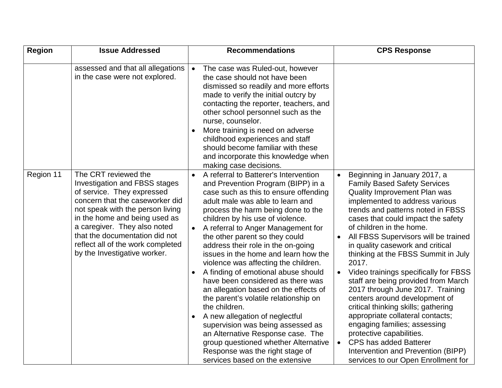| <b>Region</b> | <b>Issue Addressed</b>                                                                                                                                                                                                                                                                                                                    | <b>Recommendations</b>                                                                                                                                                                                                                                                                                                                                                                                                                                                                                                                                                                                                                                                                                                                                                                                                                    | <b>CPS Response</b>                                                                                                                                                                                                                                                                                                                                                                                                                                                                                                                                                                                                                                                                                                                                                                                                                    |
|---------------|-------------------------------------------------------------------------------------------------------------------------------------------------------------------------------------------------------------------------------------------------------------------------------------------------------------------------------------------|-------------------------------------------------------------------------------------------------------------------------------------------------------------------------------------------------------------------------------------------------------------------------------------------------------------------------------------------------------------------------------------------------------------------------------------------------------------------------------------------------------------------------------------------------------------------------------------------------------------------------------------------------------------------------------------------------------------------------------------------------------------------------------------------------------------------------------------------|----------------------------------------------------------------------------------------------------------------------------------------------------------------------------------------------------------------------------------------------------------------------------------------------------------------------------------------------------------------------------------------------------------------------------------------------------------------------------------------------------------------------------------------------------------------------------------------------------------------------------------------------------------------------------------------------------------------------------------------------------------------------------------------------------------------------------------------|
|               | assessed and that all allegations<br>in the case were not explored.                                                                                                                                                                                                                                                                       | The case was Ruled-out, however<br>$\bullet$<br>the case should not have been<br>dismissed so readily and more efforts<br>made to verify the initial outcry by<br>contacting the reporter, teachers, and<br>other school personnel such as the<br>nurse, counselor.<br>More training is need on adverse<br>childhood experiences and staff<br>should become familiar with these<br>and incorporate this knowledge when<br>making case decisions.                                                                                                                                                                                                                                                                                                                                                                                          |                                                                                                                                                                                                                                                                                                                                                                                                                                                                                                                                                                                                                                                                                                                                                                                                                                        |
| Region 11     | The CRT reviewed the<br><b>Investigation and FBSS stages</b><br>of service. They expressed<br>concern that the caseworker did<br>not speak with the person living<br>in the home and being used as<br>a caregiver. They also noted<br>that the documentation did not<br>reflect all of the work completed<br>by the Investigative worker. | A referral to Batterer's Intervention<br>and Prevention Program (BIPP) in a<br>case such as this to ensure offending<br>adult male was able to learn and<br>process the harm being done to the<br>children by his use of violence.<br>A referral to Anger Management for<br>the other parent so they could<br>address their role in the on-going<br>issues in the home and learn how the<br>violence was affecting the children.<br>A finding of emotional abuse should<br>have been considered as there was<br>an allegation based on the effects of<br>the parent's volatile relationship on<br>the children.<br>A new allegation of neglectful<br>supervision was being assessed as<br>an Alternative Response case. The<br>group questioned whether Alternative<br>Response was the right stage of<br>services based on the extensive | Beginning in January 2017, a<br>$\bullet$<br><b>Family Based Safety Services</b><br>Quality Improvement Plan was<br>implemented to address various<br>trends and patterns noted in FBSS<br>cases that could impact the safety<br>of children in the home.<br>All FBSS Supervisors will be trained<br>$\bullet$<br>in quality casework and critical<br>thinking at the FBSS Summit in July<br>2017.<br>Video trainings specifically for FBSS<br>$\bullet$<br>staff are being provided from March<br>2017 through June 2017. Training<br>centers around development of<br>critical thinking skills; gathering<br>appropriate collateral contacts;<br>engaging families; assessing<br>protective capabilities.<br><b>CPS has added Batterer</b><br>$\bullet$<br>Intervention and Prevention (BIPP)<br>services to our Open Enrollment for |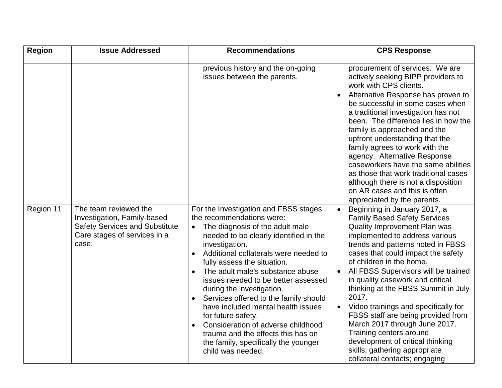| <b>Region</b> | <b>Issue Addressed</b>                                                                                                                 | <b>Recommendations</b>                                                                                                                                                                                                                                                                                                                                                                                                                                                                                                                                                                                                                 | <b>CPS Response</b>                                                                                                                                                                                                                                                                                                                                                                                                                                                                                                                                                                                                                                             |
|---------------|----------------------------------------------------------------------------------------------------------------------------------------|----------------------------------------------------------------------------------------------------------------------------------------------------------------------------------------------------------------------------------------------------------------------------------------------------------------------------------------------------------------------------------------------------------------------------------------------------------------------------------------------------------------------------------------------------------------------------------------------------------------------------------------|-----------------------------------------------------------------------------------------------------------------------------------------------------------------------------------------------------------------------------------------------------------------------------------------------------------------------------------------------------------------------------------------------------------------------------------------------------------------------------------------------------------------------------------------------------------------------------------------------------------------------------------------------------------------|
|               |                                                                                                                                        | previous history and the on-going<br>issues between the parents.                                                                                                                                                                                                                                                                                                                                                                                                                                                                                                                                                                       | procurement of services. We are<br>actively seeking BIPP providers to<br>work with CPS clients.<br>Alternative Response has proven to<br>be successful in some cases when<br>a traditional investigation has not<br>been. The difference lies in how the<br>family is approached and the<br>upfront understanding that the<br>family agrees to work with the<br>agency. Alternative Response<br>caseworkers have the same abilities<br>as those that work traditional cases<br>although there is not a disposition<br>on AR cases and this is often<br>appreciated by the parents.                                                                              |
| Region 11     | The team reviewed the<br>Investigation, Family-based<br><b>Safety Services and Substitute</b><br>Care stages of services in a<br>case. | For the Investigation and FBSS stages<br>the recommendations were:<br>The diagnosis of the adult male<br>$\bullet$<br>needed to be clearly identified in the<br>investigation.<br>Additional collaterals were needed to<br>$\bullet$<br>fully assess the situation.<br>The adult male's substance abuse<br>$\bullet$<br>issues needed to be better assessed<br>during the investigation.<br>Services offered to the family should<br>have included mental health issues<br>for future safety.<br>Consideration of adverse childhood<br>trauma and the effects this has on<br>the family, specifically the younger<br>child was needed. | Beginning in January 2017, a<br>$\bullet$<br><b>Family Based Safety Services</b><br>Quality Improvement Plan was<br>implemented to address various<br>trends and patterns noted in FBSS<br>cases that could impact the safety<br>of children in the home.<br>All FBSS Supervisors will be trained<br>$\bullet$<br>in quality casework and critical<br>thinking at the FBSS Summit in July<br>2017.<br>Video trainings and specifically for<br>$\bullet$<br>FBSS staff are being provided from<br>March 2017 through June 2017.<br>Training centers around<br>development of critical thinking<br>skills; gathering appropriate<br>collateral contacts; engaging |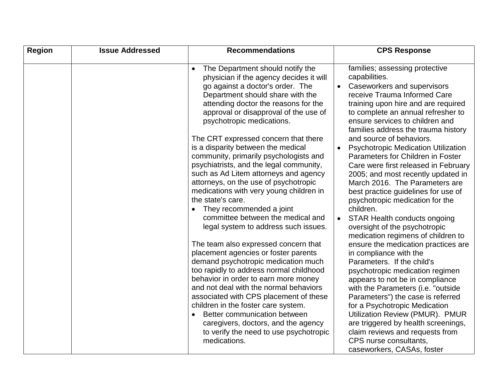| <b>Region</b> | <b>Issue Addressed</b> | <b>Recommendations</b>                                                                                                                                                                                                                                                                                                                                                                                                                                             | <b>CPS Response</b>                                                                                                                                                                                                                                                                                                                                                                                                                                                                      |
|---------------|------------------------|--------------------------------------------------------------------------------------------------------------------------------------------------------------------------------------------------------------------------------------------------------------------------------------------------------------------------------------------------------------------------------------------------------------------------------------------------------------------|------------------------------------------------------------------------------------------------------------------------------------------------------------------------------------------------------------------------------------------------------------------------------------------------------------------------------------------------------------------------------------------------------------------------------------------------------------------------------------------|
|               |                        | The Department should notify the<br>physician if the agency decides it will<br>go against a doctor's order. The<br>Department should share with the<br>attending doctor the reasons for the<br>approval or disapproval of the use of<br>psychotropic medications.                                                                                                                                                                                                  | families; assessing protective<br>capabilities.<br>Caseworkers and supervisors<br>receive Trauma Informed Care<br>training upon hire and are required<br>to complete an annual refresher to<br>ensure services to children and                                                                                                                                                                                                                                                           |
|               |                        | The CRT expressed concern that there<br>is a disparity between the medical<br>community, primarily psychologists and<br>psychiatrists, and the legal community,<br>such as Ad Litem attorneys and agency<br>attorneys, on the use of psychotropic<br>medications with very young children in<br>the state's care.<br>They recommended a joint<br>committee between the medical and<br>legal system to address such issues.                                         | families address the trauma history<br>and source of behaviors.<br><b>Psychotropic Medication Utilization</b><br>$\bullet$<br>Parameters for Children in Foster<br>Care were first released in February<br>2005; and most recently updated in<br>March 2016. The Parameters are<br>best practice guidelines for use of<br>psychotropic medication for the<br>children.<br><b>STAR Health conducts ongoing</b><br>$\bullet$<br>oversight of the psychotropic                              |
|               |                        | The team also expressed concern that<br>placement agencies or foster parents<br>demand psychotropic medication much<br>too rapidly to address normal childhood<br>behavior in order to earn more money<br>and not deal with the normal behaviors<br>associated with CPS placement of these<br>children in the foster care system.<br>Better communication between<br>caregivers, doctors, and the agency<br>to verify the need to use psychotropic<br>medications. | medication regimens of children to<br>ensure the medication practices are<br>in compliance with the<br>Parameters. If the child's<br>psychotropic medication regimen<br>appears to not be in compliance<br>with the Parameters (i.e. "outside<br>Parameters") the case is referred<br>for a Psychotropic Medication<br>Utilization Review (PMUR). PMUR<br>are triggered by health screenings,<br>claim reviews and requests from<br>CPS nurse consultants,<br>caseworkers, CASAs, foster |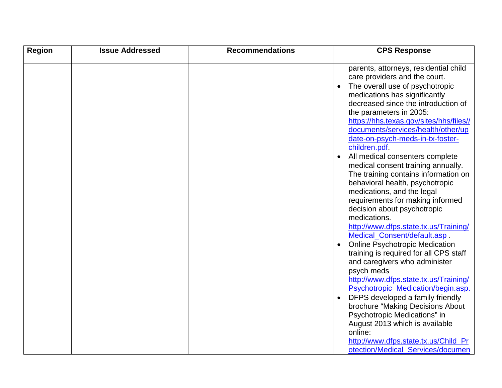| <b>Region</b> | <b>Issue Addressed</b> | <b>Recommendations</b> | <b>CPS Response</b>                                                                                                                                                                                                                                                                                                                                                                                                                                                                                                                                                                                                                                                                                                                       |
|---------------|------------------------|------------------------|-------------------------------------------------------------------------------------------------------------------------------------------------------------------------------------------------------------------------------------------------------------------------------------------------------------------------------------------------------------------------------------------------------------------------------------------------------------------------------------------------------------------------------------------------------------------------------------------------------------------------------------------------------------------------------------------------------------------------------------------|
|               |                        |                        | parents, attorneys, residential child<br>care providers and the court.<br>The overall use of psychotropic<br>medications has significantly<br>decreased since the introduction of<br>the parameters in 2005:<br>https://hhs.texas.gov/sites/hhs/files//<br>documents/services/health/other/up<br>date-on-psych-meds-in-tx-foster-<br>children.pdf.<br>All medical consenters complete<br>medical consent training annually.<br>The training contains information on<br>behavioral health, psychotropic<br>medications, and the legal<br>requirements for making informed<br>decision about psychotropic<br>medications.<br>http://www.dfps.state.tx.us/Training/<br>Medical_Consent/default.asp.<br><b>Online Psychotropic Medication</b> |
|               |                        |                        | training is required for all CPS staff<br>and caregivers who administer<br>psych meds<br>http://www.dfps.state.tx.us/Training/<br>Psychotropic_Medication/begin.asp.<br>DFPS developed a family friendly<br>brochure "Making Decisions About<br>Psychotropic Medications" in<br>August 2013 which is available<br>online:<br>http://www.dfps.state.tx.us/Child_Pr<br>otection/Medical_Services/documen                                                                                                                                                                                                                                                                                                                                    |